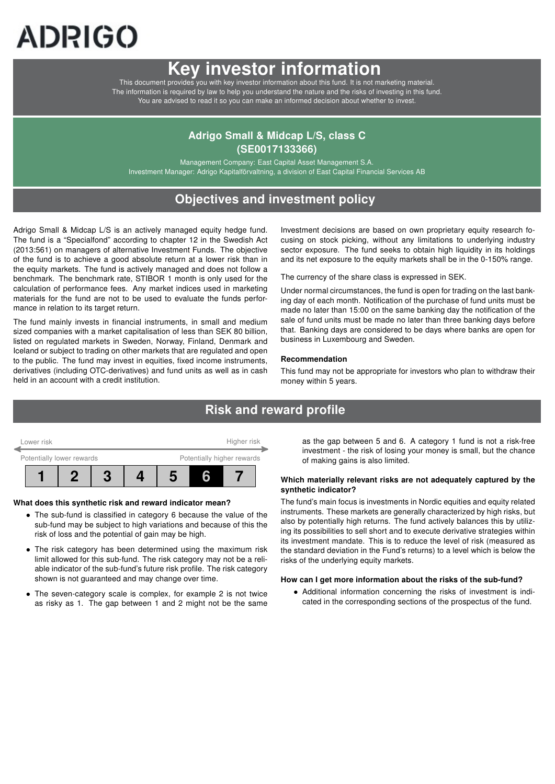# ADRIGO

# Key investor information

This document provides you with key investor information about this fund. It is not marketing material. The information is required by law to help you understand the nature and the risks of investing in this fund. You are advised to read it so you can make an informed decision about whether to invest.

# Adrigo Small & Midcap L/S, class C (SE0017133366)

Management Company: East Capital Asset Management S.A. Investment Manager: Adrigo Kapitalförvaltning, a division of East Capital Financial Services AB

# Objectives and investment policy

Adrigo Small & Midcap L/S is an actively managed equity hedge fund. The fund is a "Specialfond" according to chapter 12 in the Swedish Act (2013:561) on managers of alternative Investment Funds. The objective of the fund is to achieve a good absolute return at a lower risk than in the equity markets. The fund is actively managed and does not follow a benchmark. The benchmark rate, STIBOR 1 month is only used for the calculation of performance fees. Any market indices used in marketing materials for the fund are not to be used to evaluate the funds performance in relation to its target return.

The fund mainly invests in financial instruments, in small and medium sized companies with a market capitalisation of less than SEK 80 billion, listed on regulated markets in Sweden, Norway, Finland, Denmark and Iceland or subject to trading on other markets that are regulated and open to the public. The fund may invest in equities, fixed income instruments, derivatives (including OTC-derivatives) and fund units as well as in cash held in an account with a credit institution.

Investment decisions are based on own proprietary equity research focusing on stock picking, without any limitations to underlying industry sector exposure. The fund seeks to obtain high liquidity in its holdings and its net exposure to the equity markets shall be in the 0-150% range.

The currency of the share class is expressed in SEK.

Under normal circumstances, the fund is open for trading on the last banking day of each month. Notification of the purchase of fund units must be made no later than 15:00 on the same banking day the notification of the sale of fund units must be made no later than three banking days before that. Banking days are considered to be days where banks are open for business in Luxembourg and Sweden.

#### Recommendation

This fund may not be appropriate for investors who plan to withdraw their money within 5 years.

# Risk and reward profile



#### What does this synthetic risk and reward indicator mean?

- The sub-fund is classified in category 6 because the value of the sub-fund may be subject to high variations and because of this the risk of loss and the potential of gain may be high.
- The risk category has been determined using the maximum risk limit allowed for this sub-fund. The risk category may not be a reliable indicator of the sub-fund's future risk profile. The risk category shown is not guaranteed and may change over time.
- The seven-category scale is complex, for example 2 is not twice as risky as 1. The gap between 1 and 2 might not be the same

as the gap between 5 and 6. A category 1 fund is not a risk-free investment - the risk of losing your money is small, but the chance of making gains is also limited.

#### Which materially relevant risks are not adequately captured by the synthetic indicator?

The fund's main focus is investments in Nordic equities and equity related instruments. These markets are generally characterized by high risks, but also by potentially high returns. The fund actively balances this by utilizing its possibilities to sell short and to execute derivative strategies within its investment mandate. This is to reduce the level of risk (measured as the standard deviation in the Fund's returns) to a level which is below the risks of the underlying equity markets.

#### How can I get more information about the risks of the sub-fund?

• Additional information concerning the risks of investment is indicated in the corresponding sections of the prospectus of the fund.